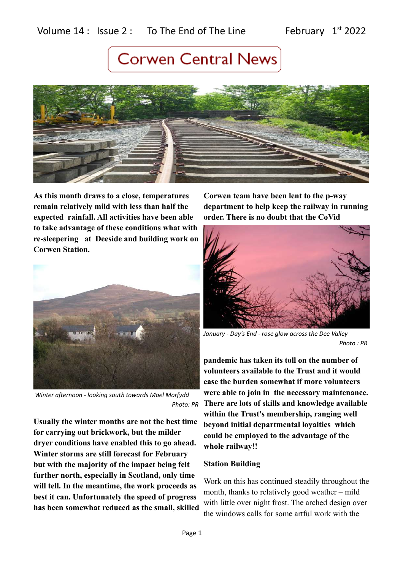

**As this month draws to a close, temperatures remain relatively mild with less than half the expected rainfall. All activities have been able to take advantage of these conditions what with re-sleepering at Deeside and building work on Corwen Station.** 



 *Winter afternoon - looking south towards Moel Morfydd Photo: PR*

**Usually the winter months are not the best time for carrying out brickwork, but the milder dryer conditions have enabled this to go ahead. Winter storms are still forecast for February but with the majority of the impact being felt further north, especially in Scotland, only time will tell. In the meantime, the work proceeds as best it can. Unfortunately the speed of progress has been somewhat reduced as the small, skilled**

**Corwen team have been lent to the p-way department to help keep the railway in running order. There is no doubt that the CoVid**



*January - Day's End - rose glow across the Dee Valley Photo : PR* 

**pandemic has taken its toll on the number of volunteers available to the Trust and it would ease the burden somewhat if more volunteers were able to join in the necessary maintenance. There are lots of skills and knowledge available within the Trust's membership, ranging well beyond initial departmental loyalties which could be employed to the advantage of the whole railway!!**

### **Station Building**

Work on this has continued steadily throughout the month, thanks to relatively good weather – mild with little over night frost. The arched design over the windows calls for some artful work with the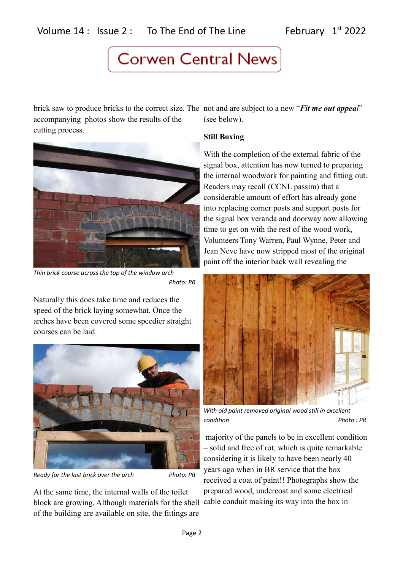brick saw to produce bricks to the correct size. The not and are subject to a new "*Fit me out appeal*" accompanying photos show the results of the cutting process.



*Thin brick course across the top of the window arch Photo: PR*

Naturally this does take time and reduces the speed of the brick laying somewhat. Once the arches have been covered some speedier straight courses can be laid.



*Ready for the last brick over the arch Photo: PR* 

At the same time, the internal walls of the toilet block are growing. Although materials for the shell cable conduit making its way into the box in of the building are available on site, the fittings are

(see below).

## **Still Boxing**

With the completion of the external fabric of the signal box, attention has now turned to preparing the internal woodwork for painting and fitting out. Readers may recall (CCNL passim) that a considerable amount of effort has already gone into replacing corner posts and support posts for the signal box veranda and doorway now allowing time to get on with the rest of the wood work, Volunteers Tony Warren, Paul Wynne, Peter and Jean Neve have now stripped most of the original paint off the interior back wall revealing the



*With old paint removed original wood still in excellent condition Photo : PR*

 majority of the panels to be in excellent condition – solid and free of rot, which is quite remarkable considering it is likely to have been nearly 40 years ago when in BR service that the box received a coat of paint!! Photographs show the prepared wood, undercoat and some electrical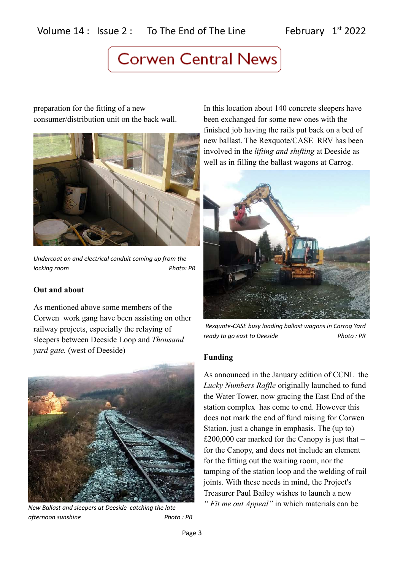# Volume  $14$  : Issue 2 : To The End of The Line February  $1^{st}$  2022

# **Corwen Central News**

preparation for the fitting of a new consumer/distribution unit on the back wall.



*Undercoat on and electrical conduit coming up from the locking room* Photo: PR

### **Out and about**

As mentioned above some members of the Corwen work gang have been assisting on other railway projects, especially the relaying of sleepers between Deeside Loop and *Thousand yard gate.* (west of Deeside)



*New Ballast and sleepers at Deeside catching the late afternoon sunshine* Photo: PR

In this location about 140 concrete sleepers have been exchanged for some new ones with the finished job having the rails put back on a bed of new ballast. The Rexquote/CASE RRV has been involved in the *lifting and shifting* at Deeside as well as in filling the ballast wagons at Carrog.



*Rexquote-CASE busy loading ballast wagons in Carrog Yard ready to go east to Deeside* Photo: PR

### **Funding**

As announced in the January edition of CCNL the *Lucky Numbers Raffle* originally launched to fund the Water Tower, now gracing the East End of the station complex has come to end. However this does not mark the end of fund raising for Corwen Station, just a change in emphasis. The (up to) £200,000 ear marked for the Canopy is just that  $$ for the Canopy, and does not include an element for the fitting out the waiting room, nor the tamping of the station loop and the welding of rail joints. With these needs in mind, the Project's Treasurer Paul Bailey wishes to launch a new *" Fit me out Appeal"* in which materials can be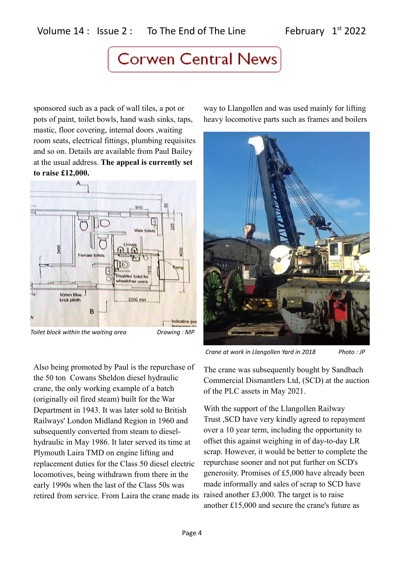sponsored such as a pack of wall tiles, a pot or pots of paint, toilet bowls, hand wash sinks, taps, mastic, floor covering, internal doors ,waiting room seats, electrical fittings, plumbing requisites and so on. Details are available from Paul Bailey at the usual address. **The appeal is currently set to raise £12,000.**



Also being promoted by Paul is the repurchase of the 50 ton Cowans Sheldon diesel hydraulic crane, the only working example of a batch (originally oil fired steam) built for the War Department in 1943. It was later sold to British Railways' London Midland Region in 1960 and subsequently converted from steam to dieselhydraulic in May 1986. It later served its time at Plymouth Laira TMD on engine lifting and replacement duties for the Class 50 diesel electric locomotives, being withdrawn from there in the early 1990s when the last of the Class 50s was retired from service. From Laira the crane made its

way to Llangollen and was used mainly for lifting heavy locomotive parts such as frames and boilers



*Crane at work in Llangollen Yard in 2018 Photo : JP*

The crane was subsequently bought by Sandbach Commercial Dismantlers Ltd, (SCD) at the auction of the PLC assets in May 2021.

With the support of the Llangollen Railway Trust ,SCD have very kindly agreed to repayment over a 10 year term, including the opportunity to offset this against weighing in of day-to-day LR scrap. However, it would be better to complete the repurchase sooner and not put further on SCD's generosity. Promises of £5,000 have already been made informally and sales of scrap to SCD have raised another £3,000. The target is to raise another £15,000 and secure the crane's future as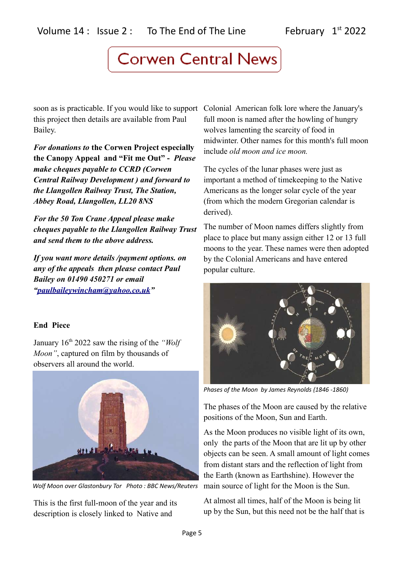soon as is practicable. If you would like to support Colonial American folk lore where the January's this project then details are available from Paul Bailey.

*For donations to* **the Corwen Project especially the Canopy Appeal and "Fit me Out" -** *Please make cheques payable to CCRD (Corwen Central Railway Development ) and forward to the Llangollen Railway Trust, The Station, Abbey Road, Llangollen, LL20 8NS*

*For the 50 Ton Crane Appeal please make cheques payable to the Llangollen Railway Trust and send them to the above address.*

*If you want more details /payment options. on any of the appeals then please contact Paul Bailey on 01490 450271 or email ["paulbaileywincham@yahoo.co.uk"](mailto:paulbaileywincham@yahoo.co.uk)*

# **End Piece**

January 16th 2022 saw the rising of the *"Wolf Moon"*, captured on film by thousands of observers all around the world.



*Wolf Moon over Glastonbury Tor Photo : BBC News/Reuters*

This is the first full-moon of the year and its description is closely linked to Native and

full moon is named after the howling of hungry wolves lamenting the scarcity of food in midwinter. Other names for this month's full moon include *old moon and ice moon.*

The cycles of the lunar phases were just as important a method of timekeeping to the Native Americans as the longer solar cycle of the year (from which the modern Gregorian calendar is derived).

The number of Moon names differs slightly from place to place but many assign either 12 or 13 full moons to the year. These names were then adopted by the Colonial Americans and have entered popular culture.



*Phases of the Moon by James Reynolds (1846 -1860)*

The phases of the Moon are caused by the relative positions of the Moon, Sun and Earth.

As the Moon produces no visible light of its own, only the parts of the Moon that are lit up by other objects can be seen. A small amount of light comes from distant stars and the reflection of light from the Earth (known as Earthshine). However the main source of light for the Moon is the Sun.

At almost all times, half of the Moon is being lit up by the Sun, but this need not be the half that is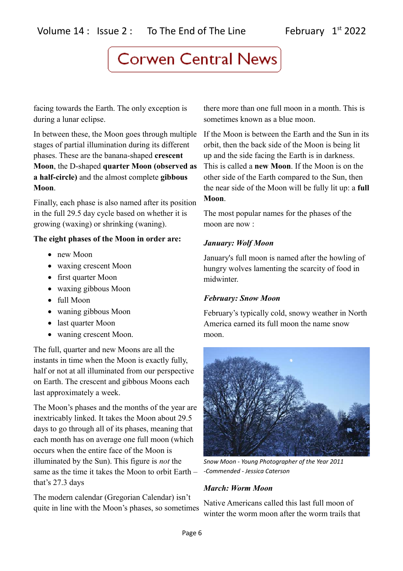facing towards the Earth. The only exception is during a lunar eclipse.

In between these, the Moon goes through multiple stages of partial illumination during its different phases. These are the banana-shaped **crescent Moon**, the D-shaped **quarter Moon (observed as a half-circle)** and the almost complete **gibbous Moon**.

Finally, each phase is also named after its position in the full 29.5 day cycle based on whether it is growing (waxing) or shrinking (waning).

# **The eight phases of the Moon in order are:**

- new Moon
- waxing crescent Moon
- first quarter Moon
- waxing gibbous Moon
- full Moon
- waning gibbous Moon
- last quarter Moon
- waning crescent Moon.

The full, quarter and new Moons are all the instants in time when the Moon is exactly fully, half or not at all illuminated from our perspective on Earth. The crescent and gibbous Moons each last approximately a week.

The Moon's phases and the months of the year are inextricably linked. It takes the Moon about 29.5 days to go through all of its phases, meaning that each month has on average one full moon (which occurs when the entire face of the Moon is illuminated by the Sun). This figure is *not* the same as the time it takes the Moon to orbit Earth – that's 27.3 days

The modern calendar (Gregorian Calendar) isn't quite in line with the Moon's phases, so sometimes

there more than one full moon in a month. This is sometimes known as a blue moon.

If the Moon is between the Earth and the Sun in its orbit, then the back side of the Moon is being lit up and the side facing the Earth is in darkness. This is called a **new Moon**. If the Moon is on the other side of the Earth compared to the Sun, then the near side of the Moon will be fully lit up: a **full Moon**.

The most popular names for the phases of the moon are now :

# *January: Wolf Moon*

January's full moon is named after the howling of hungry wolves lamenting the scarcity of food in midwinter.

# *February: Snow Moon*

February's typically cold, snowy weather in North America earned its full moon the name snow moon.



*Snow Moon - Young Photographer of the Year 2011 -Commended - Jessica Caterson*

# *March: Worm Moon*

Native Americans called this last full moon of winter the worm moon after the worm trails that